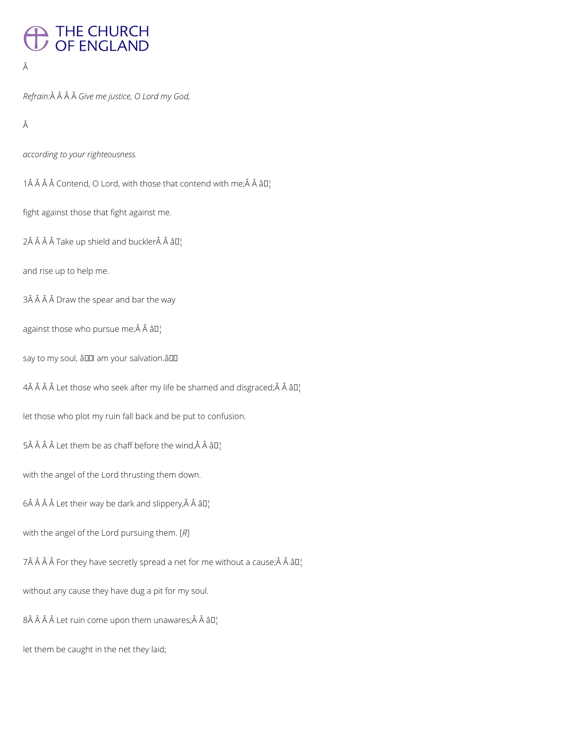## THE CHURCH<br>OF ENGLAND

## Â

*Refrain: Give me justice, O Lord my God,*

Â

*according to your righteousness.*

1 $\hat{A}$   $\hat{A}$   $\hat{A}$   $\hat{C}$  Contend, O Lord, with those that contend with me; $\hat{A}$   $\hat{A}$   $\hat{a}$   $\Box$ 

fight against those that fight against me.

 $2\hat{A}$   $\hat{A}$   $\hat{A}$   $\hat{A}$  Take up shield and buckler $\hat{A}$   $\hat{A}$   $\hat{B}$ 

and rise up to help me.

3Â Â Â Â Draw the spear and bar the way

against those who pursue me; $\hat{A}$   $\hat{A}$   $\hat{a}$  $\Box$ 

say to my soul, â00 am your salvation.â00

 $4\hat{A}$   $\hat{A}$   $\hat{A}$   $\hat{A}$  Let those who seek after my life be shamed and disgraced; $\hat{A}$   $\hat{A}$   $\hat{a}$ D<sub>1</sub>

let those who plot my ruin fall back and be put to confusion.

5Â Â Â Â Let them be as chaff before the wind, Â Â â $\mathbb{D}_1^1$ 

with the angel of the Lord thrusting them down.

 $6\hat{A}$   $\hat{A}$   $\hat{A}$  Let their way be dark and slippery, $\hat{A}$   $\hat{A}$   $\hat{a}$  $\square$ 

with the angel of the Lord pursuing them. [*R*]

7Â Â Â Â For they have secretly spread a net for me without a cause; Â Â â  $\mathbb{I}^1$ 

without any cause they have dug a pit for my soul.

 $8\hat{A}$   $\hat{A}$   $\hat{A}$  Let ruin come upon them unawares; $\hat{A}$   $\hat{A}$   $\hat{a}$   $\Box$ 

let them be caught in the net they laid;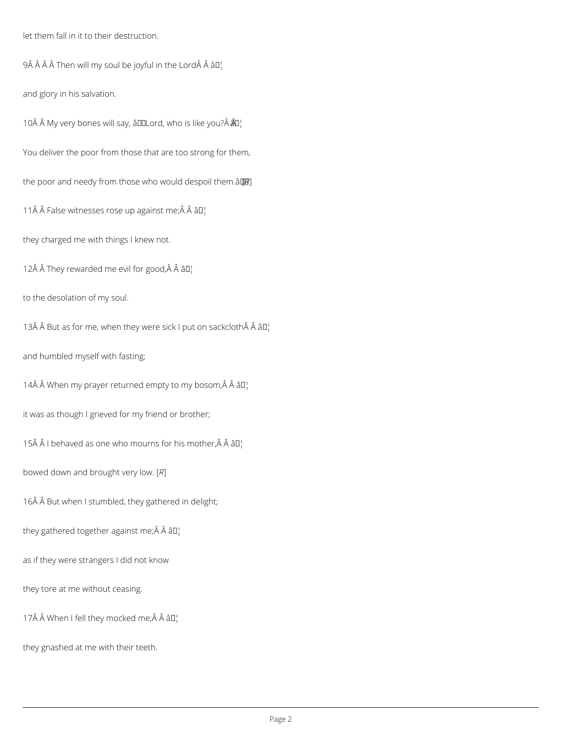let them fall in it to their destruction.

 $9\hat{A}$   $\hat{A}$   $\hat{A}$   $\hat{A}$  Then will my soul be joyful in the Lord $\hat{A}$   $\hat{A}$   $\hat{B}$  $\Gamma$ 

and glory in his salvation.

10 Â Â My very bones will say, â DDLord, who is like you? Â  $\hat{a}$ D¦

You deliver the poor from those that are too strong for them,

the poor and needy from those who would despoil them. $\hat{a}$  $[$ *IR*]

11Â Â False witnesses rose up against me;Â Â â D¦

they charged me with things I knew not.

12 $\hat{A}$   $\hat{A}$  They rewarded me evil for good, $\hat{A}$   $\hat{A}$   $\hat{a}$   $\Box$ 

to the desolation of my soul.

13 $\hat{A}$   $\hat{A}$  But as for me, when they were sick I put on sackcloth $\hat{A}$   $\hat{A}$   $\hat{a}$   $\Gamma$ 

and humbled myself with fasting;

14 $\hat{A}$   $\hat{A}$  When my prayer returned empty to my bosom, $\hat{A}$   $\hat{A}$   $\hat{a}$  $\Box$ 

it was as though I grieved for my friend or brother;

15 $\hat{A}$   $\hat{A}$  I behaved as one who mourns for his mother, $\hat{A}$   $\hat{A}$   $\hat{a}$  $\Box$ 

bowed down and brought very low. [*R*]

16Â Â But when I stumbled, they gathered in delight;

they gathered together against me; $\hat{A}$   $\hat{A}$   $\hat{a}$ D<sub>1</sub>

as if they were strangers I did not know

they tore at me without ceasing.

17Â Â When I fell they mocked me; $\hat{A}$  Â â $\Pi$ ¦

they gnashed at me with their teeth.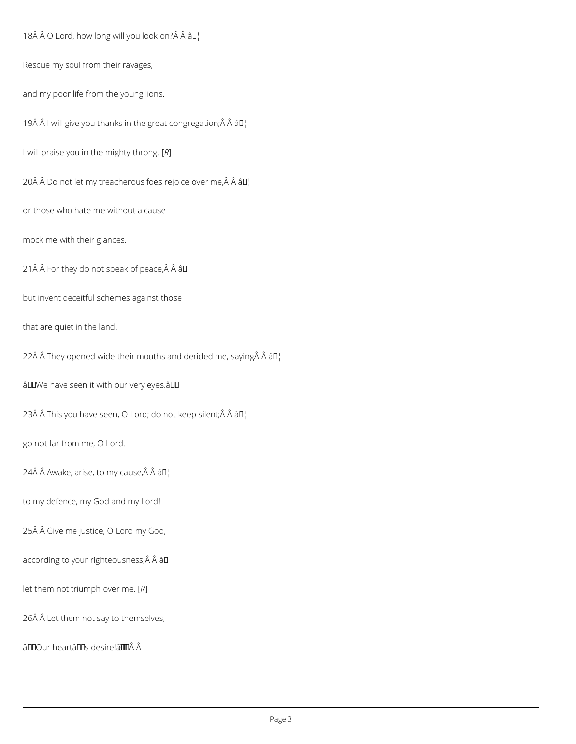18 O Lord, how long will you look on? Â â []

Rescue my soul from their ravages,

and my poor life from the young lions.

19 $\hat{A}$   $\hat{A}$  I will give you thanks in the great congregation; $\hat{A}$   $\hat{A}$   $\hat{a}$  $\Box$ 

I will praise you in the mighty throng. [*R*]

20Â Â Do not let my treacherous foes rejoice over me, Â Â â D¦

or those who hate me without a cause

mock me with their glances.

21 $\hat{A}$   $\hat{A}$  For they do not speak of peace, $\hat{A}$   $\hat{A}$   $\hat{a}$  $\Pi$ <sub>1</sub>

but invent deceitful schemes against those

that are quiet in the land.

22Å  $\hat{A}$  They opened wide their mouths and derided me, saying  $\hat{A}$   $\hat{A}$   $\hat{a}$   $\Box$ 

âDDWe have seen it with our very eyes.âDD

23Â Â This you have seen, O Lord; do not keep silent; $\hat{A}$  Â â $\Pi_1$ 

go not far from me, O Lord.

24Â Â Awake, arise, to my cause, Â Â â $\mathbb{D}_1^1$ 

to my defence, my God and my Lord!

25Â Â Give me justice, O Lord my God,

according to your righteousness; Â Â â []

let them not triumph over me. [*R*]

26Â Â Let them not say to themselves,

âDOur heartâDDs desire! a li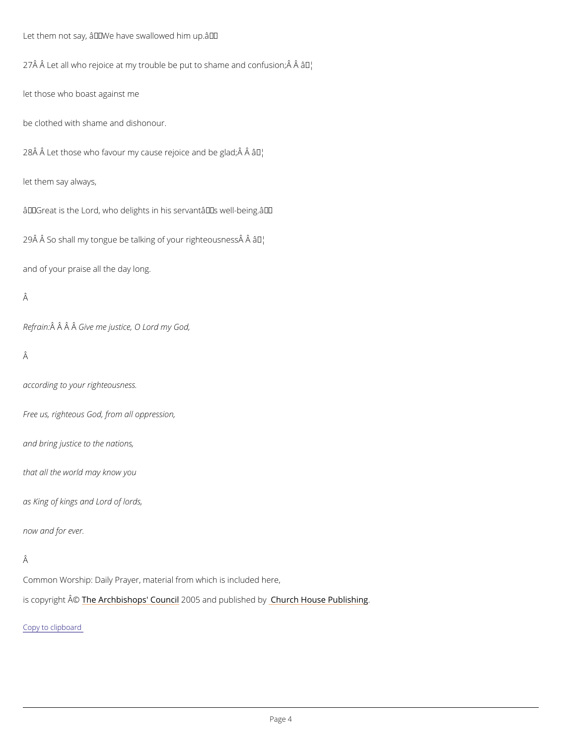Let them not say,  $\hat{a} \in \tilde{w}$  have swallowed him up.  $\hat{a} \in \tilde{w}$  $27$  Â Let all who rejoice at my trouble be put  $a\bar{d}M$ shame and confusion;Â Â let those who boast against me be clothed with shame and dishonour.  $28 \text{\AA}$   $\text{\AA}$  Let those who favour my cause ræjblice and be glad;  $\text{\AA}$   $\text{\AA}$ let them say always,  $\hat{a} \in \tilde{C}$  Great is the Lord, who delights in his servant $\hat{a} \in \tilde{C}^M$  well-being. $\hat{a} \in \tilde{C}^M$  $29$  $\hat{A}$   $\hat{A}$  So shall my tongue be talking of  $\hat{a}$ ybur righteousness $\hat{A}$   $\hat{A}$ and of your praise all the day long. Â Refra $\hat{A}$ in $\hat{A}$   $\hat{A}$ G $\hat{B}$ ve me justice, O Lord my God, Â according to your righteousness. Free us, righteous God, from all oppression, and bring justice to the nations, that all the world may know you

as King of kings and Lord of lords,

now and for ever.

Common Worship: Daily Prayer, material from which is included here,

is copyrighth  $\hat{\mathbb{A}}\otimes \mathbb{A}$  rchbishops' 2000.15 naid published roby House Publishing

Copy to clipboard